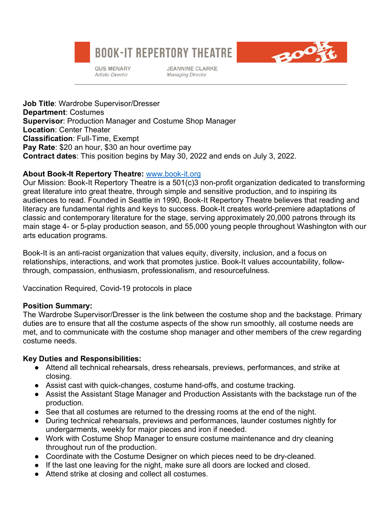# **BOOK-IT REPERTORY THEATRE**



**GUS MENARY Artistic Director** 

**JEANNINE CLARKE Managing Director** 

**Job Title**: Wardrobe Supervisor/Dresser **Department**: Costumes **Supervisor**: Production Manager and Costume Shop Manager **Location**: Center Theater **Classification**: Full-Time, Exempt **Pay Rate**: \$20 an hour, \$30 an hour overtime pay **Contract dates**: This position begins by May 30, 2022 and ends on July 3, 2022.

## **About Book-It Repertory Theatre:** www.book-it.org

Our Mission: Book-It Repertory Theatre is a 501(c)3 non-profit organization dedicated to transforming great literature into great theatre, through simple and sensitive production, and to inspiring its audiences to read. Founded in Seattle in 1990, Book-It Repertory Theatre believes that reading and literacy are fundamental rights and keys to success. Book-It creates world-premiere adaptations of classic and contemporary literature for the stage, serving approximately 20,000 patrons through its main stage 4- or 5-play production season, and 55,000 young people throughout Washington with our arts education programs.

Book-It is an anti-racist organization that values equity, diversity, inclusion, and a focus on relationships, interactions, and work that promotes justice. Book-It values accountability, followthrough, compassion, enthusiasm, professionalism, and resourcefulness.

Vaccination Required, Covid-19 protocols in place

## **Position Summary:**

The Wardrobe Supervisor/Dresser is the link between the costume shop and the backstage. Primary duties are to ensure that all the costume aspects of the show run smoothly, all costume needs are met, and to communicate with the costume shop manager and other members of the crew regarding costume needs.

## **Key Duties and Responsibilities:**

- Attend all technical rehearsals, dress rehearsals, previews, performances, and strike at closing.
- Assist cast with quick-changes, costume hand-offs, and costume tracking.
- Assist the Assistant Stage Manager and Production Assistants with the backstage run of the production.
- See that all costumes are returned to the dressing rooms at the end of the night.
- During technical rehearsals, previews and performances, launder costumes nightly for undergarments, weekly for major pieces and iron if needed.
- Work with Costume Shop Manager to ensure costume maintenance and dry cleaning throughout run of the production.
- Coordinate with the Costume Designer on which pieces need to be dry-cleaned.
- If the last one leaving for the night, make sure all doors are locked and closed.
- Attend strike at closing and collect all costumes.